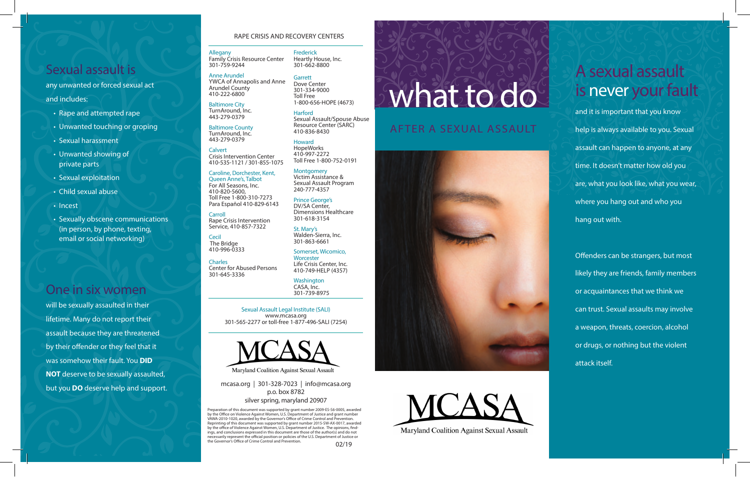# Sexual assault is

any unwanted or forced sexual act and includes:

- Rape and attempted rape
- Unwanted touching or groping
- Sexual harassment
- Unwanted showing of private parts
- Sexual exploitation
- Child sexual abuse
- Incest
- Sexually obscene communications (in person, by phone, texting, email or social networking)

# One in six women

will be sexually assaulted in their lifetime. Many do not report their assault because they are threatened by their offender or they feel that it was somehow their fault. You **DID NOT** deserve to be sexually assaulted, but you **DO** deserve help and support.

### RAPE CRISIS AND RECOVERY CENTERS

Family Crisis Resource Center 301-759-9244 Frederick Heartly House, Inc. 301-662-8800

Allegany

Anne Arundel

410-222-6800 Baltimore City TurnAround, Inc. 443-279-0379 Baltimore County TurnAround, Inc. 443-279-0379 **Calvert** 

Crisis Intervention Center

Caroline, Dorchester, Kent,<br>Queen Anne's, Talbot For All Seasons, Inc. 410-820-5600,

Toll Free 1-800-310-7273

Rape Crisis Intervention Service, 410-857-7322

Carroll

Cecil The Bridge 410-996-0333

**Charles** 

301-645-3336

**Garrett** Dove Center 301-334-9000 Toll Free 1-800-656-HOPE (4673)

> Sexual Assault/Spouse Abuse Resource Center (SARC) 410-836-8430

410-535-1121 / 301-855-1075 Howard HopeWorks 410-997-2272

> **Montgomery** Victim Assistance & Sexual Assault Program 240-777-4357

Para Español 410-829-6143 Prince George's DV/SA Center,

301-863-6661

Center for Abused Persons

Sexual Assault Legal Institute (SALI) www.mcasa.org 301-565-2277 or toll-free 1-877-496-SALI (7254)



mcasa.org | 301-328-7023 | info@mcasa.org p.o. box 8782

#### silver spring, maryland 20907

Preparation of this document was supported by grant number 2009-ES-S6-0005, awarded by the Office on Violence Against Women, U.S. Department of Justice and grant number VAWA-2010-1020, awarded by the Governor's Office of Crime Control and Prevention. Reprinting of this document was supported by grant number 2015-SW-AX-0017, awarded by the office of Violence Against Women, U.S. Department of Justice. The opinions, findings, and conclusions expressed in this document are those of the author(s) and do not necessarily represent the official position or policies of the U.S. Department of Justice or the Governor's Office of Crime Control and Prevention. 02/19

# what to do

### AFTER A SEXUAL ASSAULT





# A sexual assault is never your fault

and it is important that you know help is always available to you. Sexual assault can happen to anyone, at any time. It doesn't matter how old you are, what you look like, what you wear, where you hang out and who you hang out with.

Offenders can be strangers, but most likely they are friends, family members or acquaintances that we think we can trust. Sexual assaults may involve a weapon, threats, coercion, alcohol or drugs, or nothing but the violent attack itself.

YWCA of Annapolis and Anne Arundel County

Harford

Toll Free 1-800-752-0191

Dimensions Healthcare 301-618-3154

St. Mary's<br>Walden-Sierra, Inc.

### Somerset, Wicomico,

**Worcester** Life Crisis Center, Inc. 410-749-HELP (4357)

> Washington CASA, Inc. 301-739-8975